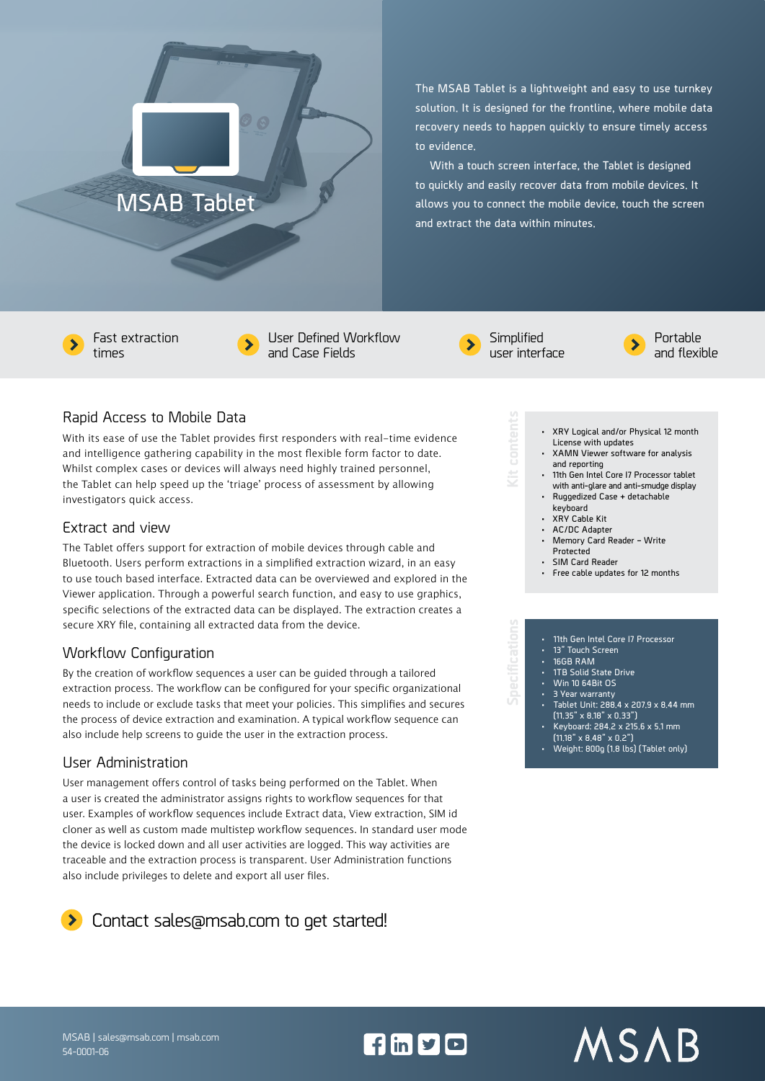# **MSAB Tablet**

**The MSAB Tablet is a lightweight and easy to use turnkey solution. It is designed for the frontline, where mobile data recovery needs to happen quickly to ensure timely access to evidence.**

**With a touch screen interface, the Tablet is designed to quickly and easily recover data from mobile devices. It allows you to connect the mobile device, touch the screen and extract the data within minutes.**

Fast extraction times



 $\partial \Theta$ 

User Defined Workflow and Case Fields



**Simplified** user interface

**Kit contents**



**• XRY Logical and/or Physical 12 month** 

**• 11th Gen Intel Core I7 Processor tablet with anti-glare and anti-smudge display • Ruggedized Case + detachable** 

**• Memory Card Reader – Write** 

**• Free cable updates for 12 months**

**License with updates • XAMN Viewer software for analysis** 

**and reporting**

**keyboard • XRY Cable Kit • AC/DC Adapter**

**Protected • SIM Card Reader** Portable and flexible

## Rapid Access to Mobile Data

With its ease of use the Tablet provides first responders with real-time evidence and intelligence gathering capability in the most flexible form factor to date. Whilst complex cases or devices will always need highly trained personnel, the Tablet can help speed up the 'triage' process of assessment by allowing investigators quick access.

#### Extract and view

The Tablet offers support for extraction of mobile devices through cable and Bluetooth. Users perform extractions in a simplified extraction wizard, in an easy to use touch based interface. Extracted data can be overviewed and explored in the Viewer application. Through a powerful search function, and easy to use graphics, specific selections of the extracted data can be displayed. The extraction creates a secure XRY file, containing all extracted data from the device.

### Workflow Configuration

By the creation of workflow sequences a user can be guided through a tailored extraction process. The workflow can be configured for your specific organizational needs to include or exclude tasks that meet your policies. This simplifies and secures the process of device extraction and examination. A typical workflow sequence can also include help screens to guide the user in the extraction process.

#### User Administration

54-0001-06

User management offers control of tasks being performed on the Tablet. When a user is created the administrator assigns rights to workflow sequences for that user. Examples of workflow sequences include Extract data, View extraction, SIM id cloner as well as custom made multistep workflow sequences. In standard user mode the device is locked down and all user activities are logged. This way activities are traceable and the extraction process is transparent. User Administration functions also include privileges to delete and export all user files.



#### **• 11th Gen Intel Core I7 Processor • 13" Touch Screen • 16GB RAM • 1TB Solid State Drive • Win 10 64Bit OS • 3 Year warranty • Tablet Unit: 288.4 x 207.9 x 8.44 mm (11.35" x 8.18" x 0.33") Specifications**

- **• Keyboard: 284.2 x 215.6 x 5.1 mm (11.18" x 8.48" x 0.2")**
- **• Weight: 800g (1.8 lbs) (Tablet only)**



 $f \ln y$